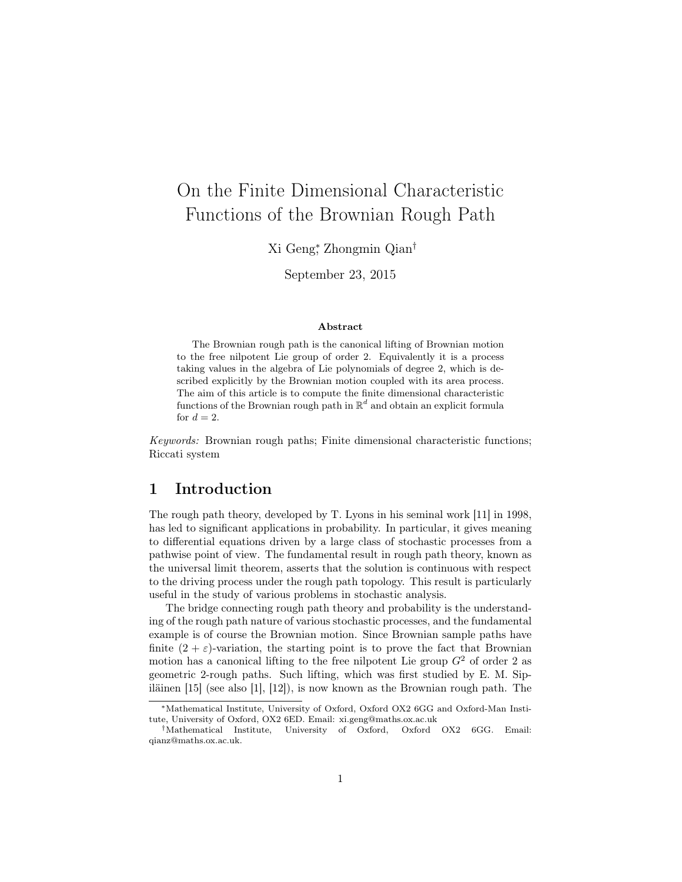# On the Finite Dimensional Characteristic Functions of the Brownian Rough Path

Xi Geng<sup>∗</sup> , Zhongmin Qian†

September 23, 2015

#### Abstract

The Brownian rough path is the canonical lifting of Brownian motion to the free nilpotent Lie group of order 2. Equivalently it is a process taking values in the algebra of Lie polynomials of degree 2, which is described explicitly by the Brownian motion coupled with its area process. The aim of this article is to compute the finite dimensional characteristic functions of the Brownian rough path in  $\mathbb{R}^d$  and obtain an explicit formula for  $d=2$ .

Keywords: Brownian rough paths; Finite dimensional characteristic functions; Riccati system

# 1 Introduction

The rough path theory, developed by T. Lyons in his seminal work [11] in 1998, has led to significant applications in probability. In particular, it gives meaning to differential equations driven by a large class of stochastic processes from a pathwise point of view. The fundamental result in rough path theory, known as the universal limit theorem, asserts that the solution is continuous with respect to the driving process under the rough path topology. This result is particularly useful in the study of various problems in stochastic analysis.

The bridge connecting rough path theory and probability is the understanding of the rough path nature of various stochastic processes, and the fundamental example is of course the Brownian motion. Since Brownian sample paths have finite  $(2 + \varepsilon)$ -variation, the starting point is to prove the fact that Brownian motion has a canonical lifting to the free nilpotent Lie group  $G<sup>2</sup>$  of order 2 as geometric 2-rough paths. Such lifting, which was first studied by E. M. Sipiläinen [15] (see also [1], [12]), is now known as the Brownian rough path. The

<sup>∗</sup>Mathematical Institute, University of Oxford, Oxford OX2 6GG and Oxford-Man Institute, University of Oxford, OX2 6ED. Email: xi.geng@maths.ox.ac.uk

<sup>†</sup>Mathematical Institute, University of Oxford, Oxford OX2 6GG. Email: qianz@maths.ox.ac.uk.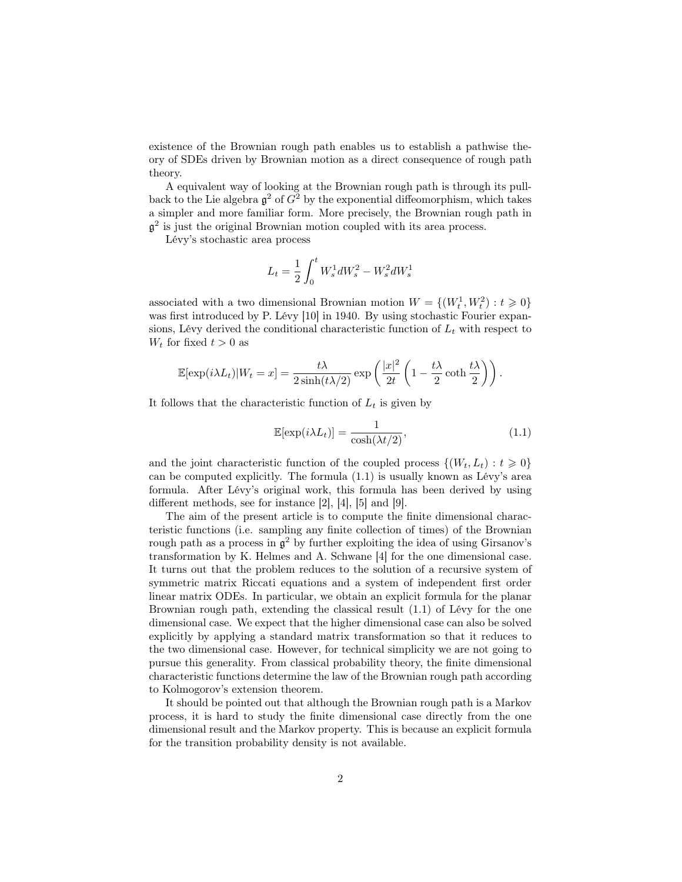existence of the Brownian rough path enables us to establish a pathwise theory of SDEs driven by Brownian motion as a direct consequence of rough path theory.

A equivalent way of looking at the Brownian rough path is through its pullback to the Lie algebra  $\mathfrak{g}^2$  of  $G^2$  by the exponential diffeomorphism, which takes a simpler and more familiar form. More precisely, the Brownian rough path in  $\mathfrak{g}^2$  is just the original Brownian motion coupled with its area process.

Lévy's stochastic area process

$$
L_t = \frac{1}{2} \int_0^t W_s^1 dW_s^2 - W_s^2 dW_s^1
$$

associated with a two dimensional Brownian motion  $W = \{(W_t^1, W_t^2) : t \geq 0\}$ was first introduced by P. Lévy [10] in 1940. By using stochastic Fourier expansions, Lévy derived the conditional characteristic function of  $L_t$  with respect to  $W_t$  for fixed  $t > 0$  as

$$
\mathbb{E}[\exp(i\lambda L_t)|W_t = x] = \frac{t\lambda}{2\sinh(t\lambda/2)} \exp\left(\frac{|x|^2}{2t}\left(1 - \frac{t\lambda}{2}\coth\frac{t\lambda}{2}\right)\right).
$$

It follows that the characteristic function of  $L_t$  is given by

$$
\mathbb{E}[\exp(i\lambda L_t)] = \frac{1}{\cosh(\lambda t/2)},\tag{1.1}
$$

and the joint characteristic function of the coupled process  $\{(W_t, L_t): t \geq 0\}$ can be computed explicitly. The formula (1.1) is usually known as Lévy's area formula. After Lévy's original work, this formula has been derived by using different methods, see for instance [2], [4], [5] and [9].

The aim of the present article is to compute the finite dimensional characteristic functions (i.e. sampling any finite collection of times) of the Brownian rough path as a process in  $\mathfrak{g}^2$  by further exploiting the idea of using Girsanov's transformation by K. Helmes and A. Schwane [4] for the one dimensional case. It turns out that the problem reduces to the solution of a recursive system of symmetric matrix Riccati equations and a system of independent first order linear matrix ODEs. In particular, we obtain an explicit formula for the planar Brownian rough path, extending the classical result (1.1) of Lévy for the one dimensional case. We expect that the higher dimensional case can also be solved explicitly by applying a standard matrix transformation so that it reduces to the two dimensional case. However, for technical simplicity we are not going to pursue this generality. From classical probability theory, the finite dimensional characteristic functions determine the law of the Brownian rough path according to Kolmogorov's extension theorem.

It should be pointed out that although the Brownian rough path is a Markov process, it is hard to study the finite dimensional case directly from the one dimensional result and the Markov property. This is because an explicit formula for the transition probability density is not available.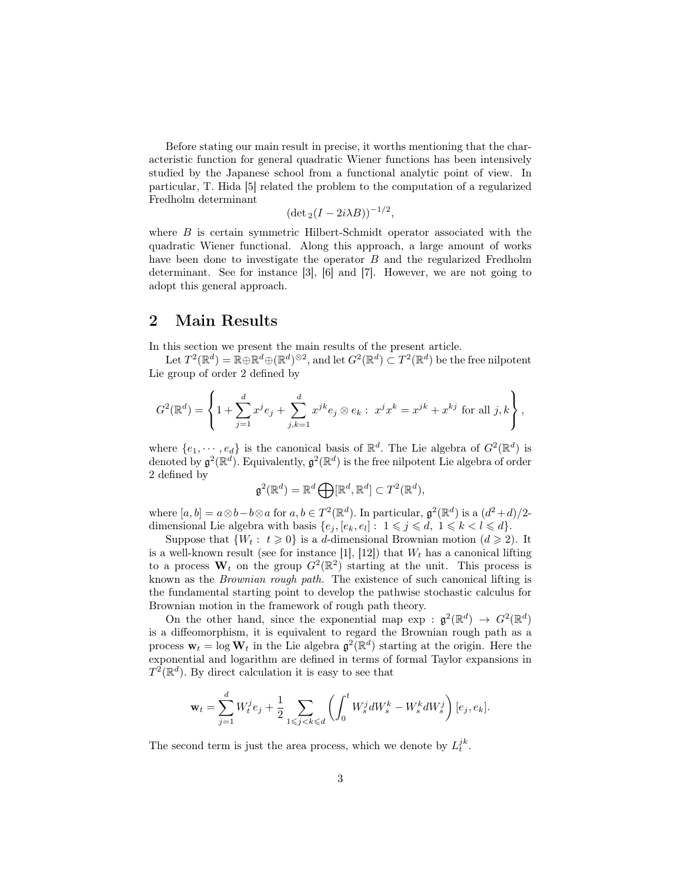Before stating our main result in precise, it worths mentioning that the characteristic function for general quadratic Wiener functions has been intensively studied by the Japanese school from a functional analytic point of view. In particular, T. Hida [5] related the problem to the computation of a regularized Fredholm determinant

$$
(\det_2(I - 2i\lambda B))^{-1/2},
$$

where  $B$  is certain symmetric Hilbert-Schmidt operator associated with the quadratic Wiener functional. Along this approach, a large amount of works have been done to investigate the operator B and the regularized Fredholm determinant. See for instance [3], [6] and [7]. However, we are not going to adopt this general approach.

# 2 Main Results

In this section we present the main results of the present article.

Let  $T^2(\mathbb{R}^d) = \mathbb{R} \oplus \mathbb{R}^d \oplus (\mathbb{R}^d)^{\otimes 2}$ , and let  $G^2(\mathbb{R}^d) \subset T^2(\mathbb{R}^d)$  be the free nilpotent Lie group of order 2 defined by

$$
G^{2}(\mathbb{R}^{d}) = \left\{ 1 + \sum_{j=1}^{d} x^{j} e_{j} + \sum_{j,k=1}^{d} x^{jk} e_{j} \otimes e_{k} : x^{j} x^{k} = x^{jk} + x^{kj} \text{ for all } j,k \right\},\
$$

where  $\{e_1, \dots, e_d\}$  is the canonical basis of  $\mathbb{R}^d$ . The Lie algebra of  $G^2(\mathbb{R}^d)$  is denoted by  $\mathfrak{g}^2(\mathbb{R}^d)$ . Equivalently,  $\mathfrak{g}^2(\mathbb{R}^d)$  is the free nilpotent Lie algebra of order 2 defined by

$$
\mathfrak{g}^2(\mathbb{R}^d) = \mathbb{R}^d \bigoplus [\mathbb{R}^d, \mathbb{R}^d] \subset T^2(\mathbb{R}^d),
$$

where  $[a, b] = a \otimes b - b \otimes a$  for  $a, b \in T^2(\mathbb{R}^d)$ . In particular,  $\mathfrak{g}^2(\mathbb{R}^d)$  is a  $(d^2 + d)/2$ dimensional Lie algebra with basis  $\{e_j,[e_k,e_l]: 1 \leq j \leq d, 1 \leq k < l \leq d\}.$ 

Suppose that  $\{W_t: t \geq 0\}$  is a d-dimensional Brownian motion  $(d \geq 2)$ . It is a well-known result (see for instance [1], [12]) that  $W_t$  has a canonical lifting to a process  $W_t$  on the group  $G^2(\mathbb{R}^2)$  starting at the unit. This process is known as the Brownian rough path. The existence of such canonical lifting is the fundamental starting point to develop the pathwise stochastic calculus for Brownian motion in the framework of rough path theory.

On the other hand, since the exponential map  $\exp : \mathfrak{g}^2(\mathbb{R}^d) \to G^2(\mathbb{R}^d)$ is a diffeomorphism, it is equivalent to regard the Brownian rough path as a process  $\mathbf{w}_t = \log \mathbf{W}_t$  in the Lie algebra  $\mathfrak{g}^2(\mathbb{R}^d)$  starting at the origin. Here the exponential and logarithm are defined in terms of formal Taylor expansions in  $T^2(\mathbb{R}^d)$ . By direct calculation it is easy to see that

$$
\mathbf{w}_{t} = \sum_{j=1}^{d} W_{t}^{j} e_{j} + \frac{1}{2} \sum_{1 \leq j < k \leq d} \left( \int_{0}^{t} W_{s}^{j} dW_{s}^{k} - W_{s}^{k} dW_{s}^{j} \right) [e_{j}, e_{k}].
$$

The second term is just the area process, which we denote by  $L_t^{jk}$ .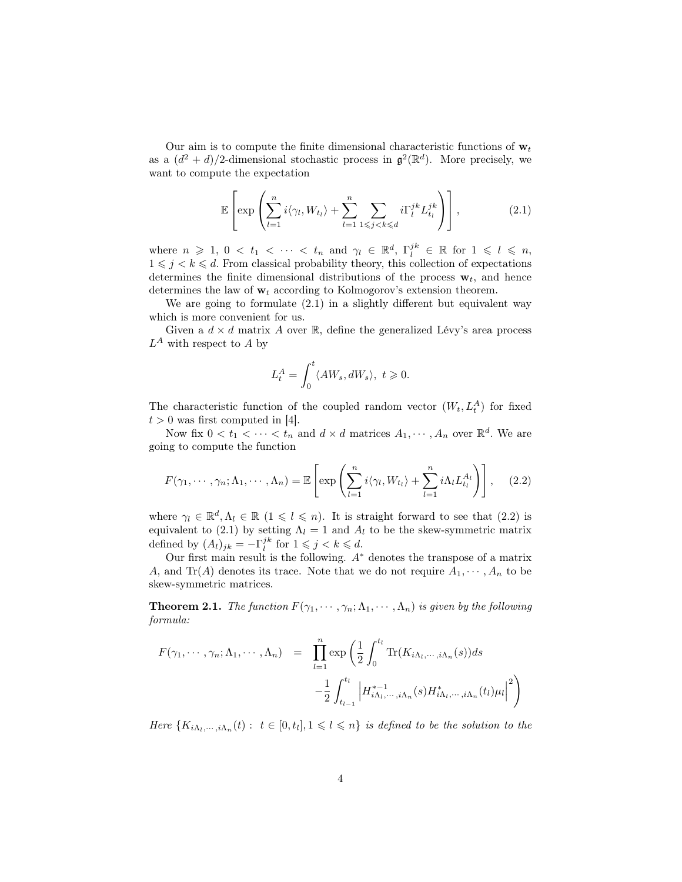Our aim is to compute the finite dimensional characteristic functions of  $\mathbf{w}_t$ as a  $(d^2 + d)/2$ -dimensional stochastic process in  $\mathfrak{g}^2(\mathbb{R}^d)$ . More precisely, we want to compute the expectation

$$
\mathbb{E}\left[\exp\left(\sum_{l=1}^n i\langle \gamma_l, W_{t_l}\rangle + \sum_{l=1}^n \sum_{1\leqslant j < k \leqslant d} i\Gamma_l^{jk} L_{t_l}^{jk}\right)\right],\tag{2.1}
$$

where  $n \geq 1, 0 < t_1 < \cdots < t_n$  and  $\gamma_l \in \mathbb{R}^d, \Gamma_l^{jk} \in \mathbb{R}$  for  $1 \leq l \leq n$ ,  $1 \leq j \leq k \leq d$ . From classical probability theory, this collection of expectations determines the finite dimensional distributions of the process  $\mathbf{w}_t$ , and hence determines the law of  $w_t$  according to Kolmogorov's extension theorem.

We are going to formulate (2.1) in a slightly different but equivalent way which is more convenient for us.

Given a  $d \times d$  matrix A over R, define the generalized Lévy's area process  $L^A$  with respect to A by

$$
L_t^A = \int_0^t \langle AW_s, dW_s \rangle, \ t \geqslant 0.
$$

The characteristic function of the coupled random vector  $(W_t, L_t^A)$  for fixed  $t > 0$  was first computed in [4].

Now fix  $0 < t_1 < \cdots < t_n$  and  $d \times d$  matrices  $A_1, \cdots, A_n$  over  $\mathbb{R}^d$ . We are going to compute the function

$$
F(\gamma_1, \cdots, \gamma_n; \Lambda_1, \cdots, \Lambda_n) = \mathbb{E}\left[\exp\left(\sum_{l=1}^n i\langle \gamma_l, W_{t_l}\rangle + \sum_{l=1}^n i\Lambda_l L_{t_l}^{A_l}\right)\right], \quad (2.2)
$$

where  $\gamma_l \in \mathbb{R}^d, \Lambda_l \in \mathbb{R}$   $(1 \leq l \leq n)$ . It is straight forward to see that  $(2.2)$  is equivalent to (2.1) by setting  $\Lambda_l = 1$  and  $A_l$  to be the skew-symmetric matrix defined by  $(A_l)_{jk} = -\Gamma_l^{jk}$  for  $1 \leq j \leq k \leq d$ .

Our first main result is the following.  $A^*$  denotes the transpose of a matrix A, and Tr(A) denotes its trace. Note that we do not require  $A_1, \dots, A_n$  to be skew-symmetric matrices.

**Theorem 2.1.** The function  $F(\gamma_1, \dots, \gamma_n; \Lambda_1, \dots, \Lambda_n)$  is given by the following formula:

$$
F(\gamma_1, \dots, \gamma_n; \Lambda_1, \dots, \Lambda_n) = \prod_{l=1}^n \exp\left(\frac{1}{2} \int_0^{t_l} \text{Tr}(K_{i\Lambda_l, \dots, i\Lambda_n}(s)) ds - \frac{1}{2} \int_{t_{l-1}}^{t_l} \left| H_{i\Lambda_l, \dots, i\Lambda_n}^{*-1}(s) H_{i\Lambda_l, \dots, i\Lambda_n}^{*}(t_l) \mu_l \right|^2 \right)
$$

Here  $\{K_{i\Lambda_l,\dots,i\Lambda_n}(t): t\in [0,t_l], 1\leqslant l\leqslant n\}$  is defined to be the solution to the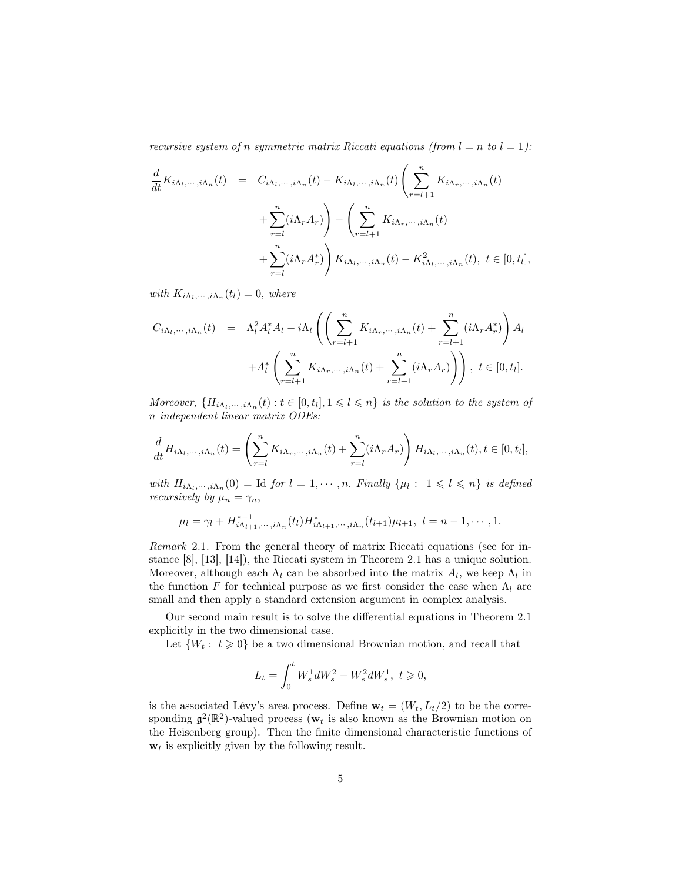recursive system of n symmetric matrix Riccati equations (from  $l = n$  to  $l = 1$ ):

$$
\frac{d}{dt}K_{i\Lambda_{l},\cdots,i\Lambda_{n}}(t) = C_{i\Lambda_{l},\cdots,i\Lambda_{n}}(t) - K_{i\Lambda_{l},\cdots,i\Lambda_{n}}(t) \left(\sum_{r=l+1}^{n} K_{i\Lambda_{r},\cdots,i\Lambda_{n}}(t) + \sum_{r=l}^{n} (i\Lambda_{r}A_{r})\right) - \left(\sum_{r=l+1}^{n} K_{i\Lambda_{r},\cdots,i\Lambda_{n}}(t) + \sum_{r=l}^{n} (i\Lambda_{r}A_{r}^{*})\right) K_{i\Lambda_{l},\cdots,i\Lambda_{n}}(t) - K_{i\Lambda_{l},\cdots,i\Lambda_{n}}^{2}(t), \ t \in [0,t_{l}],
$$

with  $K_{i\Lambda_l,\dots,i\Lambda_n}(t_l)=0$ , where

$$
C_{i\Lambda_l,\dots,i\Lambda_n}(t) = \Lambda_l^2 A_l^* A_l - i\Lambda_l \left( \left( \sum_{r=l+1}^n K_{i\Lambda_r,\dots,i\Lambda_n}(t) + \sum_{r=l+1}^n (i\Lambda_r A_r^*) \right) A_l + A_l^* \left( \sum_{r=l+1}^n K_{i\Lambda_r,\dots,i\Lambda_n}(t) + \sum_{r=l+1}^n (i\Lambda_r A_r) \right) \right), \ t \in [0, t_l].
$$

Moreover,  $\{H_{i\Lambda_l,\dots,i\Lambda_n}(t):t\in[0,t_l],1\leqslant l\leqslant n\}$  is the solution to the system of n independent linear matrix ODEs:

$$
\frac{d}{dt}H_{i\Lambda_l,\dots,i\Lambda_n}(t) = \left(\sum_{r=l}^n K_{i\Lambda_r,\dots,i\Lambda_n}(t) + \sum_{r=l}^n (i\Lambda_r A_r)\right) H_{i\Lambda_l,\dots,i\Lambda_n}(t), t \in [0, t_l],
$$

with  $H_{i\Lambda_l,\dots,i\Lambda_n}(0) = \text{Id}$  for  $l = 1,\dots, n$ . Finally  $\{\mu_l : 1 \leq l \leq n\}$  is defined recursively by  $\mu_n = \gamma_n$ ,

$$
\mu_l = \gamma_l + H^{*-1}_{i\Lambda_{l+1},\cdots,i\Lambda_n}(t_l) H^*_{i\Lambda_{l+1},\cdots,i\Lambda_n}(t_{l+1})\mu_{l+1}, \ l = n-1,\cdots,1.
$$

Remark 2.1. From the general theory of matrix Riccati equations (see for instance [8], [13], [14]), the Riccati system in Theorem 2.1 has a unique solution. Moreover, although each  $\Lambda_l$  can be absorbed into the matrix  $A_l$ , we keep  $\Lambda_l$  in the function F for technical purpose as we first consider the case when  $\Lambda_l$  are small and then apply a standard extension argument in complex analysis.

Our second main result is to solve the differential equations in Theorem 2.1 explicitly in the two dimensional case.

Let  $\{W_t: t \geq 0\}$  be a two dimensional Brownian motion, and recall that

$$
L_t = \int_0^t W_s^1 dW_s^2 - W_s^2 dW_s^1, \ t \geq 0,
$$

is the associated Lévy's area process. Define  $\mathbf{w}_t = (W_t, L_t/2)$  to be the corresponding  $\mathfrak{g}^2(\mathbb{R}^2)$ -valued process ( $\mathbf{w}_t$  is also known as the Brownian motion on the Heisenberg group). Then the finite dimensional characteristic functions of  $w_t$  is explicitly given by the following result.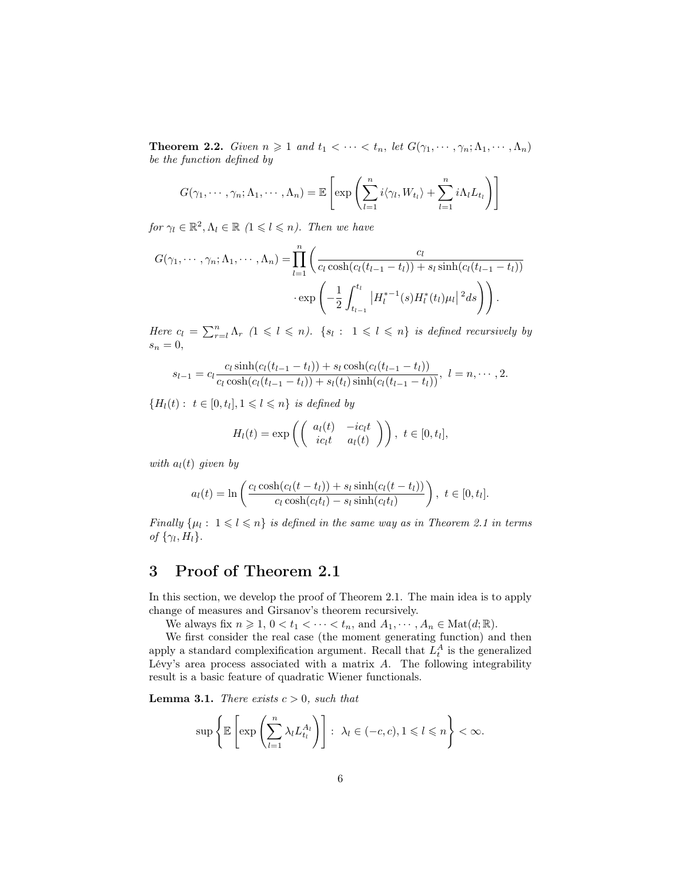**Theorem 2.2.** Given  $n \geq 1$  and  $t_1 < \cdots < t_n$ , let  $G(\gamma_1, \cdots, \gamma_n; \Lambda_1, \cdots, \Lambda_n)$ be the function defined by

$$
G(\gamma_1,\dots,\gamma_n;\Lambda_1,\dots,\Lambda_n)=\mathbb{E}\left[\exp\left(\sum_{l=1}^n i\langle \gamma_l,W_{t_l}\rangle+\sum_{l=1}^n i\Lambda_l L_{t_l}\right)\right]
$$

for  $\gamma_l \in \mathbb{R}^2, \Lambda_l \in \mathbb{R}$   $(1 \leq l \leq n)$ . Then we have

$$
G(\gamma_1, \dots, \gamma_n; \Lambda_1, \dots, \Lambda_n) = \prod_{l=1}^n \left( \frac{c_l}{c_l \cosh(c_l(t_{l-1} - t_l)) + s_l \sinh(c_l(t_{l-1} - t_l))} \cdot \exp\left( -\frac{1}{2} \int_{t_{l-1}}^{t_l} |H_l^{*-1}(s) H_l^{*}(t_l) \mu_l|^2 ds \right) \right).
$$

Here  $c_l = \sum_{r=l}^n \Lambda_r$   $(1 \leq l \leq n)$ .  $\{s_l : 1 \leq l \leq n\}$  is defined recursively by  $s_n = 0,$ 

$$
s_{l-1} = c_l \frac{c_l \sinh(c_l(t_{l-1} - t_l)) + s_l \cosh(c_l(t_{l-1} - t_l))}{c_l \cosh(c_l(t_{l-1} - t_l)) + s_l(t_l) \sinh(c_l(t_{l-1} - t_l))}, l = n, \cdots, 2.
$$

 ${H_l(t): t \in [0, t_l], 1 \leq l \leq n}$  is defined by

$$
H_l(t) = \exp\left(\begin{pmatrix} a_l(t) & -ic_l t \\ ic_l t & a_l(t) \end{pmatrix}\right), t \in [0, t_l],
$$

with  $a_l(t)$  given by

$$
a_l(t) = \ln\left(\frac{c_l\cosh(c_l(t-t_l)) + s_l\sinh(c_l(t-t_l))}{c_l\cosh(c_l(t_l) - s_l\sinh(c_l(t_l))}\right), \ t \in [0, t_l].
$$

Finally  $\{\mu_l : 1 \leq l \leq n\}$  is defined in the same way as in Theorem 2.1 in terms of  $\{\gamma_l, H_l\}.$ 

# 3 Proof of Theorem 2.1

In this section, we develop the proof of Theorem 2.1. The main idea is to apply change of measures and Girsanov's theorem recursively.

We always fix  $n \geq 1$ ,  $0 < t_1 < \cdots < t_n$ , and  $A_1, \cdots, A_n \in \text{Mat}(d; \mathbb{R})$ .

We first consider the real case (the moment generating function) and then apply a standard complexification argument. Recall that  $L_t^A$  is the generalized Lévy's area process associated with a matrix  $A$ . The following integrability result is a basic feature of quadratic Wiener functionals.

**Lemma 3.1.** There exists  $c > 0$ , such that

$$
\sup \left\{ \mathbb{E} \left[ \exp \left( \sum_{l=1}^n \lambda_l L_{t_l}^{A_l} \right) \right] : \ \lambda_l \in (-c, c), 1 \leqslant l \leqslant n \right\} < \infty.
$$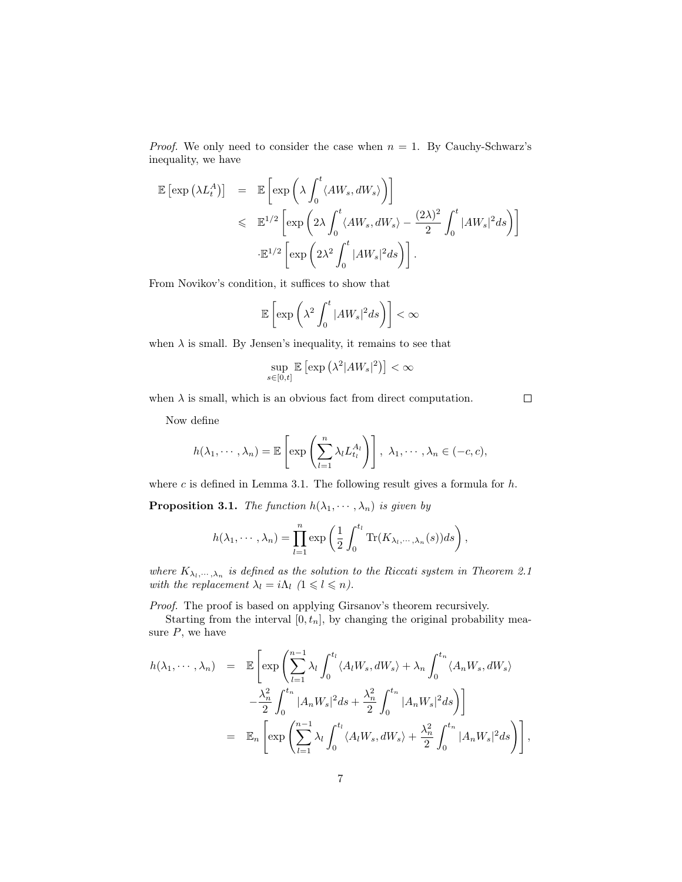*Proof.* We only need to consider the case when  $n = 1$ . By Cauchy-Schwarz's inequality, we have

$$
\mathbb{E}\left[\exp\left(\lambda L_t^A\right)\right] = \mathbb{E}\left[\exp\left(\lambda \int_0^t \langle AW_s, dW_s \rangle\right)\right]
$$
  
\$\leqslant \mathbb{E}^{1/2}\left[\exp\left(2\lambda \int\_0^t \langle AW\_s, dW\_s \rangle - \frac{(2\lambda)^2}{2} \int\_0^t |AW\_s|^2 ds\right)\right]\$.  

$$
\mathbb{E}^{1/2}\left[\exp\left(2\lambda^2 \int_0^t |AW_s|^2 ds\right)\right].
$$

From Novikov's condition, it suffices to show that

$$
\mathbb{E}\left[\exp\left(\lambda^2 \int_0^t |AW_s|^2 ds\right)\right] < \infty
$$

when  $\lambda$  is small. By Jensen's inequality, it remains to see that

$$
\sup_{s\in[0,t]}\mathbb{E}\left[\exp\left(\lambda^2|AW_s|^2\right)\right]<\infty
$$

 $\Box$ 

when  $\lambda$  is small, which is an obvious fact from direct computation.

Now define

$$
h(\lambda_1,\dots,\lambda_n)=\mathbb{E}\left[\exp\left(\sum_{l=1}^n\lambda_lL_{t_l}^{A_l}\right)\right],\ \lambda_1,\dots,\lambda_n\in(-c,c),
$$

where c is defined in Lemma 3.1. The following result gives a formula for  $h$ .

**Proposition 3.1.** The function  $h(\lambda_1, \dots, \lambda_n)$  is given by

$$
h(\lambda_1,\dots,\lambda_n)=\prod_{l=1}^n\exp\left(\frac{1}{2}\int_0^{t_l}\mathrm{Tr}(K_{\lambda_l,\dots,\lambda_n}(s))ds\right),
$$

where  $K_{\lambda_l,\dots,\lambda_n}$  is defined as the solution to the Riccati system in Theorem 2.1 with the replacement  $\lambda_l = i\Lambda_l \ (1 \leq l \leq n)$ .

Proof. The proof is based on applying Girsanov's theorem recursively.

Starting from the interval  $[0, t_n]$ , by changing the original probability measure  $P$ , we have

$$
h(\lambda_1, \dots, \lambda_n) = \mathbb{E}\left[\exp\left(\sum_{l=1}^{n-1} \lambda_l \int_0^{t_l} \langle A_l W_s, dW_s \rangle + \lambda_n \int_0^{t_n} \langle A_n W_s, dW_s \rangle \right) -\frac{\lambda_n^2}{2} \int_0^{t_n} |A_n W_s|^2 ds + \frac{\lambda_n^2}{2} \int_0^{t_n} |A_n W_s|^2 ds\right)\right]
$$
  

$$
= \mathbb{E}_n\left[\exp\left(\sum_{l=1}^{n-1} \lambda_l \int_0^{t_l} \langle A_l W_s, dW_s \rangle + \frac{\lambda_n^2}{2} \int_0^{t_n} |A_n W_s|^2 ds\right)\right],
$$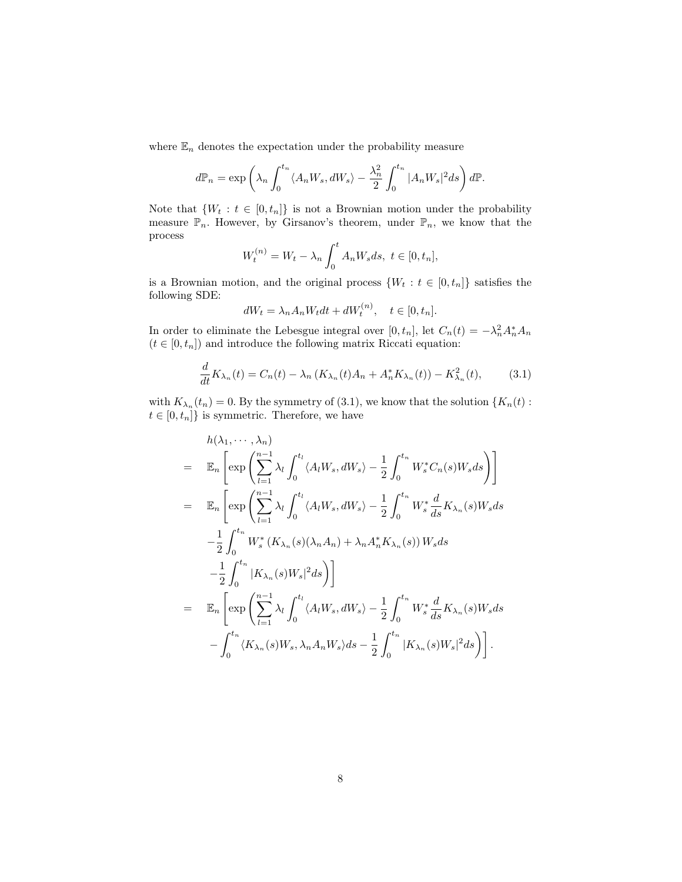where  $\mathbb{E}_n$  denotes the expectation under the probability measure

$$
d\mathbb{P}_n = \exp\left(\lambda_n \int_0^{t_n} \langle A_n W_s, dW_s \rangle - \frac{\lambda_n^2}{2} \int_0^{t_n} |A_n W_s|^2 ds\right) d\mathbb{P}.
$$

Note that  $\{W_t : t \in [0, t_n]\}$  is not a Brownian motion under the probability measure  $\mathbb{P}_n$ . However, by Girsanov's theorem, under  $\mathbb{P}_n$ , we know that the process

$$
W_t^{(n)} = W_t - \lambda_n \int_0^t A_n W_s ds, \ t \in [0, t_n],
$$

is a Brownian motion, and the original process  $\{W_t : t \in [0, t_n]\}$  satisfies the following SDE:

$$
dW_t = \lambda_n A_n W_t dt + dW_t^{(n)}, \quad t \in [0, t_n].
$$

In order to eliminate the Lebesgue integral over  $[0, t_n]$ , let  $C_n(t) = -\lambda_n^2 A_n^* A_n$  $(t\in [0,t_n])$  and introduce the following matrix Riccati equation:

$$
\frac{d}{dt}K_{\lambda_n}(t) = C_n(t) - \lambda_n (K_{\lambda_n}(t)A_n + A_n^* K_{\lambda_n}(t)) - K_{\lambda_n}^2(t),
$$
 (3.1)

with  $K_{\lambda_n}(t_n) = 0$ . By the symmetry of (3.1), we know that the solution  $\{K_n(t):$  $t\in [0,t_n]\}$  is symmetric. Therefore, we have

$$
h(\lambda_1, \dots, \lambda_n)
$$
  
\n
$$
= \mathbb{E}_n \left[ \exp \left( \sum_{l=1}^{n-1} \lambda_l \int_0^{t_l} \langle A_l W_s, dW_s \rangle - \frac{1}{2} \int_0^{t_n} W_s^* C_n(s) W_s ds \right) \right]
$$
  
\n
$$
= \mathbb{E}_n \left[ \exp \left( \sum_{l=1}^{n-1} \lambda_l \int_0^{t_l} \langle A_l W_s, dW_s \rangle - \frac{1}{2} \int_0^{t_n} W_s^* \frac{d}{ds} K_{\lambda_n}(s) W_s ds \right) \right]
$$
  
\n
$$
- \frac{1}{2} \int_0^{t_n} W_s^* (K_{\lambda_n}(s) (\lambda_n A_n) + \lambda_n A_n^* K_{\lambda_n}(s)) W_s ds
$$
  
\n
$$
- \frac{1}{2} \int_0^{t_n} |K_{\lambda_n}(s) W_s|^2 ds \right)
$$
  
\n
$$
= \mathbb{E}_n \left[ \exp \left( \sum_{l=1}^{n-1} \lambda_l \int_0^{t_l} \langle A_l W_s, dW_s \rangle - \frac{1}{2} \int_0^{t_n} W_s^* \frac{d}{ds} K_{\lambda_n}(s) W_s ds \right) \right]
$$
  
\n
$$
- \int_0^{t_n} \langle K_{\lambda_n}(s) W_s, \lambda_n A_n W_s \rangle ds - \frac{1}{2} \int_0^{t_n} |K_{\lambda_n}(s) W_s|^2 ds \right).
$$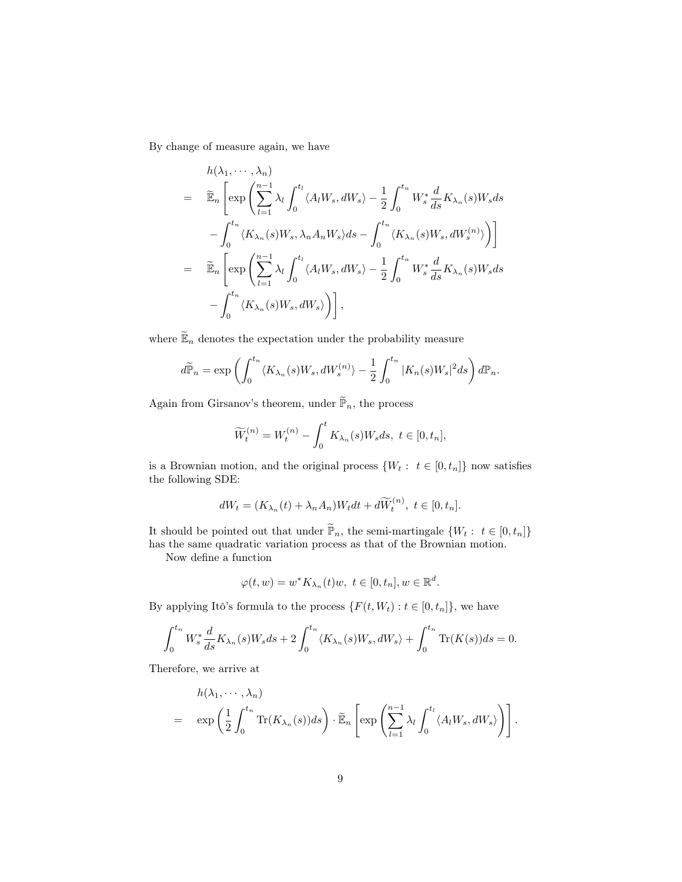By change of measure again, we have

$$
h(\lambda_1, \dots, \lambda_n)
$$
  
\n
$$
= \widetilde{\mathbb{E}}_n \left[ \exp \left( \sum_{l=1}^{n-1} \lambda_l \int_0^{t_l} \langle A_l W_s, dW_s \rangle - \frac{1}{2} \int_0^{t_n} W_s^* \frac{d}{ds} K_{\lambda_n}(s) W_s ds - \int_0^{t_n} \langle K_{\lambda_n}(s) W_s, \lambda_n A_n W_s \rangle ds - \int_0^{t_n} \langle K_{\lambda_n}(s) W_s, dW_s \rangle \right) \right]
$$
  
\n
$$
= \widetilde{\mathbb{E}}_n \left[ \exp \left( \sum_{l=1}^{n-1} \lambda_l \int_0^{t_l} \langle A_l W_s, dW_s \rangle - \frac{1}{2} \int_0^{t_n} W_s^* \frac{d}{ds} K_{\lambda_n}(s) W_s ds - \int_0^{t_n} \langle K_{\lambda_n}(s) W_s, dW_s \rangle \right) \right],
$$

where  $\widetilde{\mathbb{E}}_n$  denotes the expectation under the probability measure

$$
d\widetilde{\mathbb{P}}_n = \exp\left(\int_0^{t_n} \langle K_{\lambda_n}(s)W_s, dW_s^{(n)}\rangle - \frac{1}{2} \int_0^{t_n} |K_n(s)W_s|^2 ds\right) d\mathbb{P}_n.
$$

Again from Girsanov's theorem, under  $\widetilde{\mathbb{P}}_n,$  the process

$$
\widetilde{W}_t^{(n)} = W_t^{(n)} - \int_0^t K_{\lambda_n}(s)W_s ds, \ t \in [0, t_n],
$$

is a Brownian motion, and the original process  $\{W_t: t \in [0, t_n]\}$  now satisfies the following SDE:

$$
dW_t = (K_{\lambda_n}(t) + \lambda_n A_n)W_t dt + d\widetilde{W}_t^{(n)}, \ t \in [0, t_n].
$$

It should be pointed out that under  $\widetilde{\mathbb{P}}_n$ , the semi-martingale  $\{W_t:~t\in[0,t_n]\}$ has the same quadratic variation process as that of the Brownian motion.

Now define a function

$$
\varphi(t, w) = w^* K_{\lambda_n}(t) w, \ t \in [0, t_n], w \in \mathbb{R}^d.
$$

By applying Itô's formula to the process  $\{F(t, W_t) : t \in [0, t_n]\}$ , we have

$$
\int_0^{t_n} W_s^* \frac{d}{ds} K_{\lambda_n}(s) W_s ds + 2 \int_0^{t_n} \langle K_{\lambda_n}(s) W_s, dW_s \rangle + \int_0^{t_n} \text{Tr}(K(s)) ds = 0.
$$

Therefore, we arrive at

$$
h(\lambda_1, \dots, \lambda_n)
$$
  
=  $\exp\left(\frac{1}{2} \int_0^{t_n} \text{Tr}(K_{\lambda_n}(s))ds\right) \cdot \widetilde{\mathbb{E}}_n \left[\exp\left(\sum_{l=1}^{n-1} \lambda_l \int_0^{t_l} \langle A_l W_s, dW_s \rangle \right)\right].$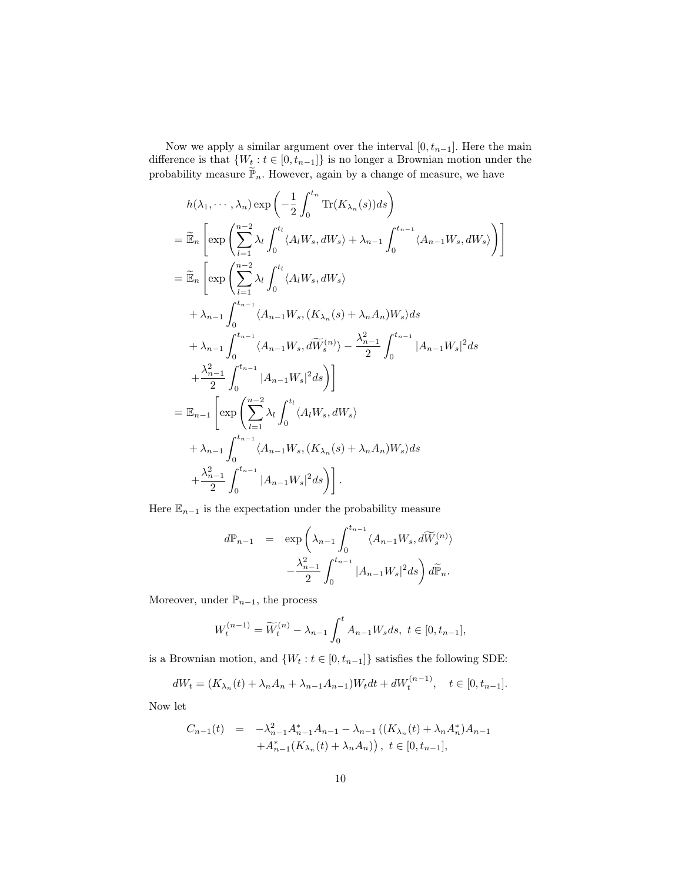Now we apply a similar argument over the interval  $[0, t_{n-1}]$ . Here the main difference is that  $\{W_t : t \in [0, t_{n-1}]\}$  is no longer a Brownian motion under the probability measure  $\widetilde{\mathbb{P}}_n$ . However, again by a change of measure, we have

$$
h(\lambda_1, \dots, \lambda_n) \exp\left(-\frac{1}{2} \int_0^{t_n} \text{Tr}(K_{\lambda_n}(s))ds\right)
$$
  
\n
$$
= \widetilde{\mathbb{E}}_n \left[ \exp\left(\sum_{l=1}^{n-2} \lambda_l \int_0^{t_l} \langle A_l W_s, dW_s \rangle + \lambda_{n-1} \int_0^{t_{n-1}} \langle A_{n-1} W_s, dW_s \rangle \right) \right]
$$
  
\n
$$
= \widetilde{\mathbb{E}}_n \left[ \exp\left(\sum_{l=1}^{n-2} \lambda_l \int_0^{t_l} \langle A_l W_s, dW_s \rangle \right) + \lambda_{n-1} \int_0^{t_{n-1}} \langle A_{n-1} W_s, (K_{\lambda_n}(s) + \lambda_n A_n) W_s \rangle ds
$$
  
\n
$$
+ \lambda_{n-1} \int_0^{t_{n-1}} \langle A_{n-1} W_s, d\widetilde{W}_s^{(n)} \rangle - \frac{\lambda_{n-1}^2}{2} \int_0^{t_{n-1}} |A_{n-1} W_s|^2 ds
$$
  
\n
$$
+ \frac{\lambda_{n-1}^2}{2} \int_0^{t_{n-1}} |A_{n-1} W_s|^2 ds \right)]
$$
  
\n
$$
= \mathbb{E}_{n-1} \left[ \exp\left(\sum_{l=1}^{n-2} \lambda_l \int_0^{t_l} \langle A_l W_s, dW_s \rangle \right)
$$
  
\n
$$
+ \lambda_{n-1} \int_0^{t_{n-1}} \langle A_{n-1} W_s, (K_{\lambda_n}(s) + \lambda_n A_n) W_s \rangle ds
$$
  
\n
$$
+ \frac{\lambda_{n-1}^2}{2} \int_0^{t_{n-1}} |A_{n-1} W_s|^2 ds \right).
$$

Here  $\mathbb{E}_{n-1}$  is the expectation under the probability measure

$$
d\mathbb{P}_{n-1} = \exp\left(\lambda_{n-1} \int_0^{t_{n-1}} \langle A_{n-1} W_s, d\widetilde{W}_s^{(n)} \rangle - \frac{\lambda_{n-1}^2}{2} \int_0^{t_{n-1}} |A_{n-1} W_s|^2 ds\right) d\widetilde{\mathbb{P}}_n.
$$

Moreover, under  $\mathbb{P}_{n-1}$ , the process

$$
W_t^{(n-1)} = \widetilde{W}_t^{(n)} - \lambda_{n-1} \int_0^t A_{n-1} W_s ds, \ t \in [0, t_{n-1}],
$$

is a Brownian motion, and  $\{W_t:t\in[0,t_{n-1}]\}$  satisfies the following SDE:

$$
dW_t = (K_{\lambda_n}(t) + \lambda_n A_n + \lambda_{n-1} A_{n-1}) W_t dt + dW_t^{(n-1)}, \quad t \in [0, t_{n-1}].
$$

Now let

$$
C_{n-1}(t) = -\lambda_{n-1}^{2} A_{n-1}^{*} A_{n-1} - \lambda_{n-1} ((K_{\lambda_n}(t) + \lambda_n A_n^{*}) A_{n-1} + A_{n-1}^{*} (K_{\lambda_n}(t) + \lambda_n A_n)), \ t \in [0, t_{n-1}],
$$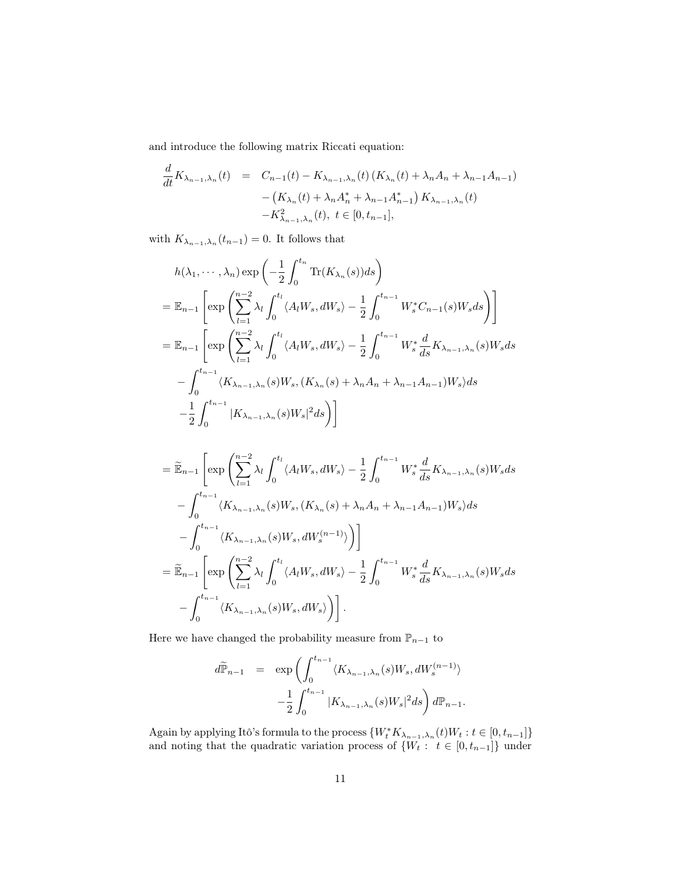and introduce the following matrix Riccati equation:

$$
\frac{d}{dt}K_{\lambda_{n-1},\lambda_n}(t) = C_{n-1}(t) - K_{\lambda_{n-1},\lambda_n}(t) (K_{\lambda_n}(t) + \lambda_n A_n + \lambda_{n-1} A_{n-1})
$$

$$
- (K_{\lambda_n}(t) + \lambda_n A_n^* + \lambda_{n-1} A_{n-1}^*) K_{\lambda_{n-1},\lambda_n}(t)
$$

$$
-K_{\lambda_{n-1},\lambda_n}^2(t), t \in [0, t_{n-1}],
$$

with  $K_{\lambda_{n-1},\lambda_n}(t_{n-1})=0$ . It follows that

$$
h(\lambda_1, \dots, \lambda_n) \exp\left(-\frac{1}{2} \int_0^{t_n} \text{Tr}(K_{\lambda_n}(s)) ds\right)
$$
  
=  $\mathbb{E}_{n-1} \left[ \exp\left(\sum_{l=1}^{n-2} \lambda_l \int_0^{t_l} \langle A_l W_s, dW_s \rangle - \frac{1}{2} \int_0^{t_{n-1}} W_s^* C_{n-1}(s) W_s ds\right) \right]$   
=  $\mathbb{E}_{n-1} \left[ \exp\left(\sum_{l=1}^{n-2} \lambda_l \int_0^{t_l} \langle A_l W_s, dW_s \rangle - \frac{1}{2} \int_0^{t_{n-1}} W_s^* \frac{d}{ds} K_{\lambda_{n-1},\lambda_n}(s) W_s ds\right] - \int_0^{t_{n-1}} \langle K_{\lambda_{n-1},\lambda_n}(s) W_s, (K_{\lambda_n}(s) + \lambda_n A_n + \lambda_{n-1} A_{n-1}) W_s \rangle ds$   
 $-\frac{1}{2} \int_0^{t_{n-1}} |K_{\lambda_{n-1},\lambda_n}(s) W_s|^2 ds \right)$ 

$$
= \widetilde{\mathbb{E}}_{n-1} \left[ \exp \left( \sum_{l=1}^{n-2} \lambda_l \int_0^{t_l} \langle A_l W_s, dW_s \rangle - \frac{1}{2} \int_0^{t_{n-1}} W_s^* \frac{d}{ds} K_{\lambda_{n-1},\lambda_n}(s) W_s ds \right) \right. \\
\left. - \int_0^{t_{n-1}} \langle K_{\lambda_{n-1},\lambda_n}(s) W_s, (K_{\lambda_n}(s) + \lambda_n A_n + \lambda_{n-1} A_{n-1}) W_s \rangle ds \right. \\
\left. - \int_0^{t_{n-1}} \langle K_{\lambda_{n-1},\lambda_n}(s) W_s, dW_s^{(n-1)} \rangle \right) \right] \\
= \widetilde{\mathbb{E}}_{n-1} \left[ \exp \left( \sum_{l=1}^{n-2} \lambda_l \int_0^{t_l} \langle A_l W_s, dW_s \rangle - \frac{1}{2} \int_0^{t_{n-1}} W_s^* \frac{d}{ds} K_{\lambda_{n-1},\lambda_n}(s) W_s ds \right. \\
\left. - \int_0^{t_{n-1}} \langle K_{\lambda_{n-1},\lambda_n}(s) W_s, dW_s \rangle \right) \right].
$$

Here we have changed the probability measure from  $\mathbb{P}_{n-1}$  to

$$
d\widetilde{\mathbb{P}}_{n-1} = \exp\left(\int_0^{t_{n-1}} \langle K_{\lambda_{n-1},\lambda_n}(s)W_s, dW_s^{(n-1)}\rangle -\frac{1}{2}\int_0^{t_{n-1}} |K_{\lambda_{n-1},\lambda_n}(s)W_s|^2 ds\right) d\mathbb{P}_{n-1}.
$$

Again by applying Itô's formula to the process  $\{W_t^*K_{\lambda_{n-1},\lambda_n}(t)W_t: t \in [0,t_{n-1}]\}$ and noting that the quadratic variation process of  $\{W_t: t \in [0, t_{n-1}]\}\$  under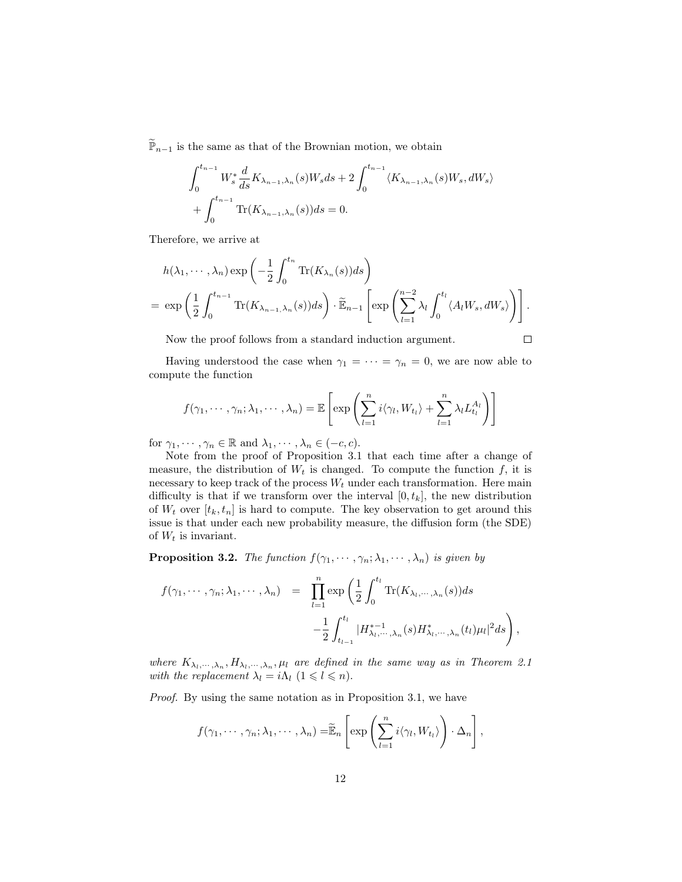$\widetilde{\mathbb{P}}_{n-1}$  is the same as that of the Brownian motion, we obtain

$$
\int_0^{t_{n-1}} W_s^* \frac{d}{ds} K_{\lambda_{n-1},\lambda_n}(s) W_s ds + 2 \int_0^{t_{n-1}} \langle K_{\lambda_{n-1},\lambda_n}(s) W_s, dW_s \rangle
$$
  
+ 
$$
\int_0^{t_{n-1}} \text{Tr}(K_{\lambda_{n-1},\lambda_n}(s)) ds = 0.
$$

Therefore, we arrive at

$$
h(\lambda_1, \dots, \lambda_n) \exp\left(-\frac{1}{2} \int_0^{t_n} \text{Tr}(K_{\lambda_n}(s))ds\right)
$$
  
= 
$$
\exp\left(\frac{1}{2} \int_0^{t_{n-1}} \text{Tr}(K_{\lambda_{n-1},\lambda_n}(s))ds\right) \cdot \widetilde{\mathbb{E}}_{n-1} \left[\exp\left(\sum_{l=1}^{n-2} \lambda_l \int_0^{t_l} \langle A_l W_s, dW_s \rangle \right)\right].
$$

Now the proof follows from a standard induction argument.

$$
\Box
$$

Having understood the case when  $\gamma_1 = \cdots = \gamma_n = 0$ , we are now able to compute the function

$$
f(\gamma_1,\dots,\gamma_n;\lambda_1,\dots,\lambda_n)=\mathbb{E}\left[\exp\left(\sum_{l=1}^n i\langle \gamma_l,W_{t_l}\rangle+\sum_{l=1}^n \lambda_l L_{t_l}^{A_l}\right)\right]
$$

for  $\gamma_1, \dots, \gamma_n \in \mathbb{R}$  and  $\lambda_1, \dots, \lambda_n \in (-c, c)$ .

Note from the proof of Proposition 3.1 that each time after a change of measure, the distribution of  $W_t$  is changed. To compute the function f, it is necessary to keep track of the process  $W_t$  under each transformation. Here main difficulty is that if we transform over the interval  $[0, t_k]$ , the new distribution of  $W_t$  over  $[t_k, t_n]$  is hard to compute. The key observation to get around this issue is that under each new probability measure, the diffusion form (the SDE) of  $W_t$  is invariant.

**Proposition 3.2.** The function  $f(\gamma_1, \dots, \gamma_n; \lambda_1, \dots, \lambda_n)$  is given by

$$
f(\gamma_1, \dots, \gamma_n; \lambda_1, \dots, \lambda_n) = \prod_{l=1}^n \exp\left(\frac{1}{2} \int_0^{t_l} \text{Tr}(K_{\lambda_l, \dots, \lambda_n}(s)) ds - \frac{1}{2} \int_{t_{l-1}}^{t_l} |H_{\lambda_l, \dots, \lambda_n}^{*-1}(s) H_{\lambda_l, \dots, \lambda_n}^{*}(t_l) \mu_l|^2 ds\right),
$$

where  $K_{\lambda_1,\dots,\lambda_n}$ ,  $H_{\lambda_1,\dots,\lambda_n}$ ,  $\mu_l$  are defined in the same way as in Theorem 2.1 with the replacement  $\lambda_l = i \Lambda_l \ (1 \leq l \leq n)$ .

Proof. By using the same notation as in Proposition 3.1, we have

$$
f(\gamma_1, \dots, \gamma_n; \lambda_1, \dots, \lambda_n) = \widetilde{\mathbb{E}}_n \left[ \exp \left( \sum_{l=1}^n i \langle \gamma_l, W_{t_l} \rangle \right) \cdot \Delta_n \right],
$$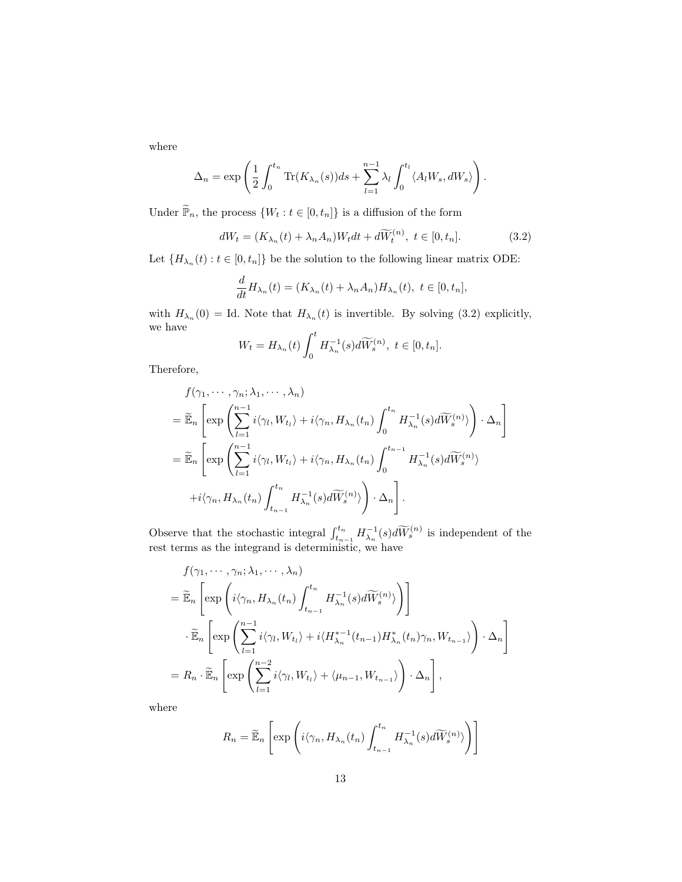where

$$
\Delta_n = \exp\left(\frac{1}{2}\int_0^{t_n} \text{Tr}(K_{\lambda_n}(s))ds + \sum_{l=1}^{n-1} \lambda_l \int_0^{t_l} \langle A_l W_s, dW_s \rangle\right).
$$

Under  $\widetilde{\mathbb{P}}_n,$  the process  $\{W_t: t\in [0,t_n]\}$  is a diffusion of the form

$$
dW_t = (K_{\lambda_n}(t) + \lambda_n A_n)W_t dt + d\widetilde{W}_t^{(n)}, \ t \in [0, t_n].
$$
\n(3.2)

Let  $\{H_{\lambda_n}(t): t \in [0, t_n]\}$  be the solution to the following linear matrix ODE:

$$
\frac{d}{dt}H_{\lambda_n}(t) = (K_{\lambda_n}(t) + \lambda_n A_n)H_{\lambda_n}(t), \ t \in [0, t_n],
$$

with  $H_{\lambda_n}(0) = \text{Id}$ . Note that  $H_{\lambda_n}(t)$  is invertible. By solving (3.2) explicitly, we have

$$
W_t = H_{\lambda_n}(t) \int_0^t H_{\lambda_n}^{-1}(s) d\widetilde{W}_s^{(n)}, \ t \in [0, t_n].
$$

Therefore,

$$
f(\gamma_1, \dots, \gamma_n; \lambda_1, \dots, \lambda_n)
$$
  
=  $\widetilde{\mathbb{E}}_n \left[ \exp \left( \sum_{l=1}^{n-1} i \langle \gamma_l, W_{t_l} \rangle + i \langle \gamma_n, H_{\lambda_n}(t_n) \int_0^{t_n} H_{\lambda_n}^{-1}(s) d\widetilde{W}_s^{(n)} \rangle \right) \cdot \Delta_n \right]$   
=  $\widetilde{\mathbb{E}}_n \left[ \exp \left( \sum_{l=1}^{n-1} i \langle \gamma_l, W_{t_l} \rangle + i \langle \gamma_n, H_{\lambda_n}(t_n) \int_0^{t_{n-1}} H_{\lambda_n}^{-1}(s) d\widetilde{W}_s^{(n)} \rangle + i \langle \gamma_n, H_{\lambda_n}(t_n) \int_{t_{n-1}}^{t_n} H_{\lambda_n}^{-1}(s) d\widetilde{W}_s^{(n)} \rangle \right) \cdot \Delta_n \right].$ 

Observe that the stochastic integral  $\int_{t_{n-1}}^{t_n} H_{\lambda_n}^{-1}(s) d\widetilde{W}_s^{(n)}$  is independent of the rest terms as the integrand is deterministic, we have

$$
f(\gamma_1, \dots, \gamma_n; \lambda_1, \dots, \lambda_n)
$$
  
=  $\widetilde{\mathbb{E}}_n \left[ \exp \left( i \langle \gamma_n, H_{\lambda_n}(t_n) \int_{t_{n-1}}^{t_n} H_{\lambda_n}^{-1}(s) d\widetilde{W}_s^{(n)} \rangle \right) \right]$   
 $\cdot \widetilde{\mathbb{E}}_n \left[ \exp \left( \sum_{l=1}^{n-1} i \langle \gamma_l, W_{t_l} \rangle + i \langle H_{\lambda_n}^{*-1}(t_{n-1}) H_{\lambda_n}^*(t_n) \gamma_n, W_{t_{n-1}} \rangle \right) \cdot \Delta_n \right]$   
=  $R_n \cdot \widetilde{\mathbb{E}}_n \left[ \exp \left( \sum_{l=1}^{n-2} i \langle \gamma_l, W_{t_l} \rangle + \langle \mu_{n-1}, W_{t_{n-1}} \rangle \right) \cdot \Delta_n \right],$ 

where

$$
R_n = \widetilde{\mathbb{E}}_n \left[ \exp \left( i \langle \gamma_n, H_{\lambda_n}(t_n) \int_{t_{n-1}}^{t_n} H_{\lambda_n}^{-1}(s) d\widetilde{W}_s^{(n)} \rangle \right) \right]
$$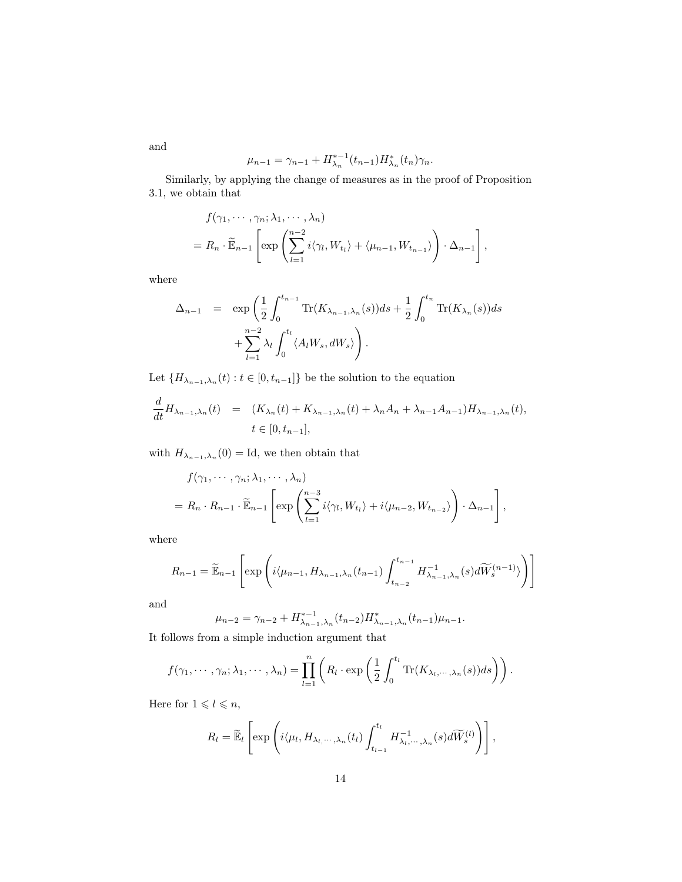$$
\mu_{n-1} = \gamma_{n-1} + H_{\lambda_n}^{*-1}(t_{n-1})H_{\lambda_n}^*(t_n)\gamma_n.
$$

Similarly, by applying the change of measures as in the proof of Proposition 3.1, we obtain that

$$
f(\gamma_1, \dots, \gamma_n; \lambda_1, \dots, \lambda_n)
$$
  
=  $R_n \cdot \widetilde{\mathbb{E}}_{n-1} \left[ \exp \left( \sum_{l=1}^{n-2} i \langle \gamma_l, W_{t_l} \rangle + \langle \mu_{n-1}, W_{t_{n-1}} \rangle \right) \cdot \Delta_{n-1} \right],$ 

where

$$
\Delta_{n-1} = \exp\left(\frac{1}{2}\int_0^{t_{n-1}} \text{Tr}(K_{\lambda_{n-1},\lambda_n}(s))ds + \frac{1}{2}\int_0^{t_n} \text{Tr}(K_{\lambda_n}(s))ds + \sum_{l=1}^{n-2} \lambda_l \int_0^{t_l} \langle A_l W_s, dW_s \rangle \right).
$$

Let  $\{H_{\lambda_{n-1},\lambda_n}(t):t\in[0,t_{n-1}]\}$  be the solution to the equation

$$
\frac{d}{dt}H_{\lambda_{n-1},\lambda_n}(t) = (K_{\lambda_n}(t) + K_{\lambda_{n-1},\lambda_n}(t) + \lambda_n A_n + \lambda_{n-1} A_{n-1})H_{\lambda_{n-1},\lambda_n}(t),
$$
  

$$
t \in [0, t_{n-1}],
$$

with  $H_{\lambda_{n-1},\lambda_n}(0) = \text{Id}$ , we then obtain that

$$
f(\gamma_1, \dots, \gamma_n; \lambda_1, \dots, \lambda_n)
$$
  
=  $R_n \cdot R_{n-1} \cdot \widetilde{\mathbb{E}}_{n-1} \left[ \exp \left( \sum_{l=1}^{n-3} i \langle \gamma_l, W_{t_l} \rangle + i \langle \mu_{n-2}, W_{t_{n-2}} \rangle \right) \cdot \Delta_{n-1} \right],$ 

where

$$
R_{n-1} = \widetilde{\mathbb{E}}_{n-1} \left[ \exp \left( i \langle \mu_{n-1}, H_{\lambda_{n-1}, \lambda_n}(t_{n-1}) \int_{t_{n-2}}^{t_{n-1}} H_{\lambda_{n-1}, \lambda_n}^{-1}(s) d\widetilde{W}_s^{(n-1)} \rangle \right) \right]
$$

and

$$
\mu_{n-2} = \gamma_{n-2} + H_{\lambda_{n-1},\lambda_n}^{*-1}(t_{n-2})H_{\lambda_{n-1},\lambda_n}^*(t_{n-1})\mu_{n-1}.
$$

It follows from a simple induction argument that

$$
f(\gamma_1,\dots,\gamma_n;\lambda_1,\dots,\lambda_n)=\prod_{l=1}^n\left(R_l\cdot\exp\left(\frac{1}{2}\int_0^{t_l}\mathrm{Tr}(K_{\lambda_l,\dots,\lambda_n}(s))ds\right)\right).
$$

Here for  $1 \leq l \leq n$ ,

$$
R_l = \widetilde{\mathbb{E}}_l \left[ \exp \left( i \langle \mu_l, H_{\lambda_l, \cdots, \lambda_n}(t_l) \int_{t_{l-1}}^{t_l} H^{-1}_{\lambda_l, \cdots, \lambda_n}(s) d\widetilde{W}_s^{(l)} \right) \right],
$$

and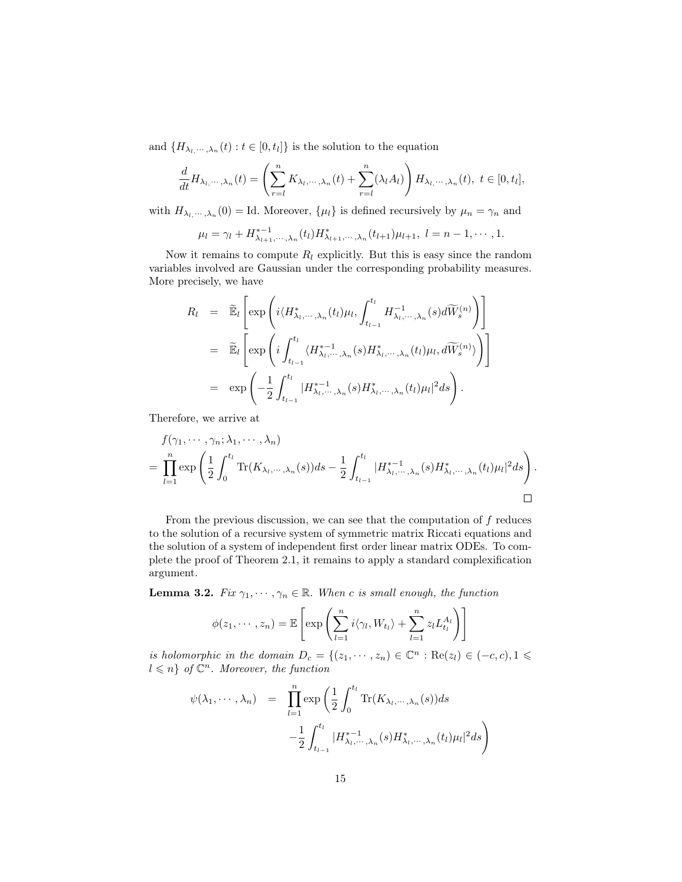and  $\{H_{\lambda_l,\dots,\lambda_n}(t):t\in[0,t_l]\}$  is the solution to the equation

$$
\frac{d}{dt}H_{\lambda_l,\dots,\lambda_n}(t) = \left(\sum_{r=l}^n K_{\lambda_l,\dots,\lambda_n}(t) + \sum_{r=l}^n (\lambda_l A_l)\right) H_{\lambda_l,\dots,\lambda_n}(t), \ t \in [0, t_l],
$$

with  $H_{\lambda_l,\dots,\lambda_n}(0) = \text{Id}$ . Moreover,  $\{\mu_l\}$  is defined recursively by  $\mu_n = \gamma_n$  and

$$
\mu_l = \gamma_l + H^{*-1}_{\lambda_{l+1},\dots,\lambda_n}(t_l) H^*_{\lambda_{l+1},\dots,\lambda_n}(t_{l+1})\mu_{l+1}, \ l = n-1,\dots,1.
$$

Now it remains to compute  $R_l$  explicitly. But this is easy since the random variables involved are Gaussian under the corresponding probability measures. More precisely, we have

$$
R_l = \widetilde{\mathbb{E}}_l \left[ \exp \left( i \langle H_{\lambda_l, \dots, \lambda_n}^* (t_l) \mu_l, \int_{t_{l-1}}^{t_l} H_{\lambda_l, \dots, \lambda_n}^{-1} (s) d\widetilde{W}_s^{(n)} \right) \right]
$$
  
\n
$$
= \widetilde{\mathbb{E}}_l \left[ \exp \left( i \int_{t_{l-1}}^{t_l} \langle H_{\lambda_l, \dots, \lambda_n}^{*-1} (s) H_{\lambda_l, \dots, \lambda_n}^* (t_l) \mu_l, d\widetilde{W}_s^{(n)} \rangle \right) \right]
$$
  
\n
$$
= \exp \left( -\frac{1}{2} \int_{t_{l-1}}^{t_l} |H_{\lambda_l, \dots, \lambda_n}^{*-1} (s) H_{\lambda_l, \dots, \lambda_n}^* (t_l) \mu_l |^2 ds \right).
$$

Therefore, we arrive at

$$
f(\gamma_1, \dots, \gamma_n; \lambda_1, \dots, \lambda_n)
$$
  
= 
$$
\prod_{l=1}^n \exp\left(\frac{1}{2} \int_0^{t_l} \text{Tr}(K_{\lambda_l, \dots, \lambda_n}(s)) ds - \frac{1}{2} \int_{t_{l-1}}^{t_l} |H^{*-1}_{\lambda_l, \dots, \lambda_n}(s) H^*_{\lambda_l, \dots, \lambda_n}(t_l) \mu_l|^2 ds\right).
$$

From the previous discussion, we can see that the computation of  $f$  reduces to the solution of a recursive system of symmetric matrix Riccati equations and the solution of a system of independent first order linear matrix ODEs. To complete the proof of Theorem 2.1, it remains to apply a standard complexification argument.

**Lemma 3.2.** Fix  $\gamma_1, \dots, \gamma_n \in \mathbb{R}$ . When c is small enough, the function

$$
\phi(z_1,\dots,z_n)=\mathbb{E}\left[\exp\left(\sum_{l=1}^n i\langle \gamma_l,W_{t_l}\rangle+\sum_{l=1}^n z_lL_{t_l}^{A_l}\right)\right]
$$

is holomorphic in the domain  $D_c = \{(z_1, \dots, z_n) \in \mathbb{C}^n : \text{Re}(z_i) \in (-c, c), 1 \leq$  $l \leqslant n$  of  $\mathbb{C}^n$ . Moreover, the function

$$
\psi(\lambda_1, \dots, \lambda_n) = \prod_{l=1}^n \exp\left(\frac{1}{2} \int_0^{t_l} \text{Tr}(K_{\lambda_l, \dots, \lambda_n}(s)) ds - \frac{1}{2} \int_{t_{l-1}}^{t_l} |H_{\lambda_l, \dots, \lambda_n}^{* - 1}(s) H_{\lambda_l, \dots, \lambda_n}^{*}(t_l) \mu_l|^2 ds\right)
$$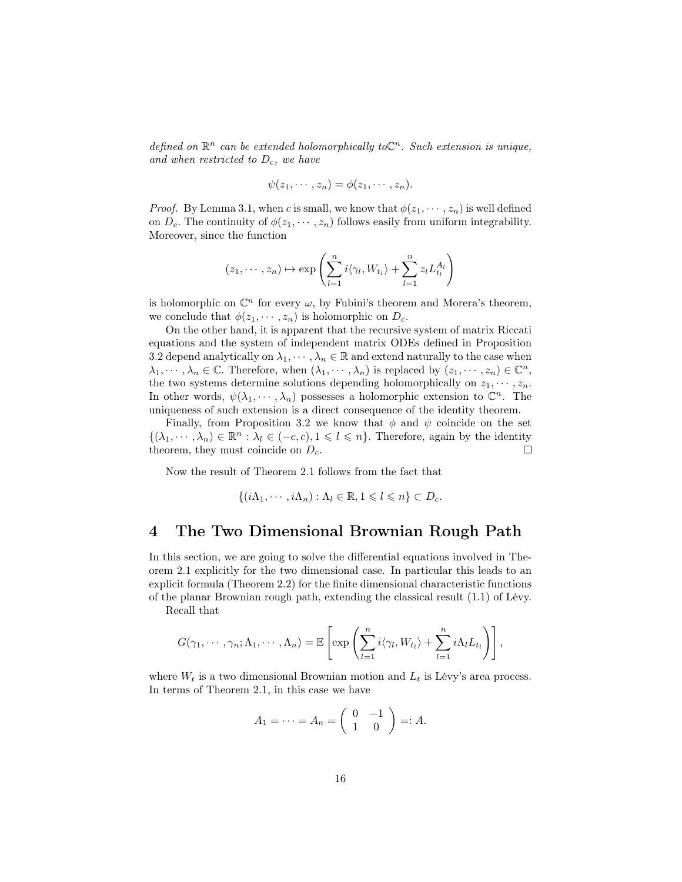defined on  $\mathbb{R}^n$  can be extended holomorphically to  $\mathbb{C}^n$ . Such extension is unique, and when restricted to  $D_c$ , we have

$$
\psi(z_1,\cdots,z_n)=\phi(z_1,\cdots,z_n).
$$

*Proof.* By Lemma 3.1, when c is small, we know that  $\phi(z_1, \dots, z_n)$  is well defined on  $D_c$ . The continuity of  $\phi(z_1, \dots, z_n)$  follows easily from uniform integrability. Moreover, since the function

$$
(z_1, \dots, z_n) \mapsto \exp\left(\sum_{l=1}^n i\langle \gamma_l, W_{t_l} \rangle + \sum_{l=1}^n z_l L_{t_l}^{A_l}\right)
$$

is holomorphic on  $\mathbb{C}^n$  for every  $\omega$ , by Fubini's theorem and Morera's theorem, we conclude that  $\phi(z_1, \dots, z_n)$  is holomorphic on  $D_c$ .

On the other hand, it is apparent that the recursive system of matrix Riccati equations and the system of independent matrix ODEs defined in Proposition 3.2 depend analytically on  $\lambda_1, \dots, \lambda_n \in \mathbb{R}$  and extend naturally to the case when  $\lambda_1, \dots, \lambda_n \in \mathbb{C}$ . Therefore, when  $(\lambda_1, \dots, \lambda_n)$  is replaced by  $(z_1, \dots, z_n) \in \mathbb{C}^n$ , the two systems determine solutions depending holomorphically on  $z_1, \dots, z_n$ . In other words,  $\psi(\lambda_1, \dots, \lambda_n)$  possesses a holomorphic extension to  $\mathbb{C}^n$ . The uniqueness of such extension is a direct consequence of the identity theorem.

Finally, from Proposition 3.2 we know that  $\phi$  and  $\psi$  coincide on the set  $\{(\lambda_1,\dots,\lambda_n)\in\mathbb{R}^n : \lambda_l\in(-c,c), 1\leq l\leq n\}.$  Therefore, again by the identity theorem, they must coincide on  $D_c$ .  $\Box$ 

Now the result of Theorem 2.1 follows from the fact that

$$
\{(i\Lambda_1,\cdots,i\Lambda_n):\Lambda_l\in\mathbb{R},1\leqslant l\leqslant n\}\subset D_c.
$$

# 4 The Two Dimensional Brownian Rough Path

In this section, we are going to solve the differential equations involved in Theorem 2.1 explicitly for the two dimensional case. In particular this leads to an explicit formula (Theorem 2.2) for the finite dimensional characteristic functions of the planar Brownian rough path, extending the classical result (1.1) of Lévy.

Recall that

$$
G(\gamma_1,\cdots,\gamma_n;\Lambda_1,\cdots,\Lambda_n)=\mathbb{E}\left[\exp\left(\sum_{l=1}^n i\langle \gamma_l,W_{t_l}\rangle+\sum_{l=1}^n i\Lambda_lL_{t_l}\right)\right],
$$

where  $W_t$  is a two dimensional Brownian motion and  $L_t$  is Lévy's area process. In terms of Theorem 2.1, in this case we have

$$
A_1 = \cdots = A_n = \begin{pmatrix} 0 & -1 \\ 1 & 0 \end{pmatrix} =: A.
$$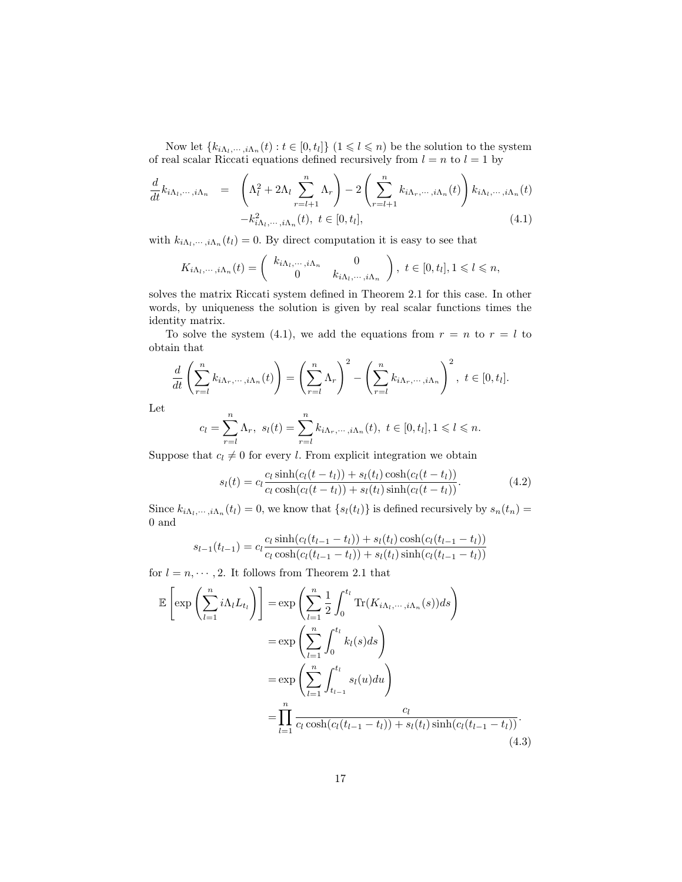Now let  $\{k_{i\Lambda_l,\dots,i\Lambda_n}(t):t\in[0,t_l]\}\ (1\leqslant l\leqslant n)$  be the solution to the system of real scalar Riccati equations defined recursively from  $l = n$  to  $l = 1$  by

$$
\frac{d}{dt}k_{i\Lambda_l,\dots,i\Lambda_n} = \left(\Lambda_l^2 + 2\Lambda_l \sum_{r=l+1}^n \Lambda_r\right) - 2\left(\sum_{r=l+1}^n k_{i\Lambda_r,\dots,i\Lambda_n}(t)\right) k_{i\Lambda_l,\dots,i\Lambda_n}(t)
$$
\n
$$
-k_{i\Lambda_l,\dots,i\Lambda_n}^2(t), \ t \in [0,t_l],
$$
\n(4.1)

with  $k_{i\Lambda_i,\dots,i\Lambda_n}(t_l) = 0$ . By direct computation it is easy to see that

$$
K_{i\Lambda_l,\dots,i\Lambda_n}(t) = \begin{pmatrix} k_{i\Lambda_l,\dots,i\Lambda_n} & 0 \\ 0 & k_{i\Lambda_l,\dots,i\Lambda_n} \end{pmatrix}, t \in [0,t_l], 1 \leq l \leq n,
$$

solves the matrix Riccati system defined in Theorem 2.1 for this case. In other words, by uniqueness the solution is given by real scalar functions times the identity matrix.

To solve the system (4.1), we add the equations from  $r = n$  to  $r = l$  to obtain that

$$
\frac{d}{dt}\left(\sum_{r=l}^{n}k_{i\Lambda_{r},\cdots,i\Lambda_{n}}(t)\right)=\left(\sum_{r=l}^{n}\Lambda_{r}\right)^{2}-\left(\sum_{r=l}^{n}k_{i\Lambda_{r},\cdots,i\Lambda_{n}}\right)^{2},\ t\in[0,t_{l}].
$$

Let

$$
c_l = \sum_{r=l}^{n} \Lambda_r, \ s_l(t) = \sum_{r=l}^{n} k_{i\Lambda_r, \dots, i\Lambda_n}(t), \ t \in [0, t_l], 1 \leq l \leq n.
$$

Suppose that  $c_l \neq 0$  for every l. From explicit integration we obtain

$$
s_l(t) = c_l \frac{c_l \sinh(c_l(t - t_l)) + s_l(t_l) \cosh(c_l(t - t_l))}{c_l \cosh(c_l(t - t_l)) + s_l(t_l) \sinh(c_l(t - t_l))}.
$$
\n(4.2)

Since  $k_{i\Lambda_l,\dots,i\Lambda_n}(t_l) = 0$ , we know that  $\{s_l(t_l)\}\$ is defined recursively by  $s_n(t_n) =$ 0 and

$$
s_{l-1}(t_{l-1}) = c_l \frac{c_l \sinh(c_l(t_{l-1} - t_l)) + s_l(t_l) \cosh(c_l(t_{l-1} - t_l))}{c_l \cosh(c_l(t_{l-1} - t_l)) + s_l(t_l) \sinh(c_l(t_{l-1} - t_l))}
$$

for  $l = n, \dots, 2$ . It follows from Theorem 2.1 that

$$
\mathbb{E}\left[\exp\left(\sum_{l=1}^{n}i\Lambda_{l}L_{t_{l}}\right)\right] = \exp\left(\sum_{l=1}^{n}\frac{1}{2}\int_{0}^{t_{l}}\text{Tr}(K_{i\Lambda_{l},\dots,i\Lambda_{n}}(s))ds\right)
$$

$$
= \exp\left(\sum_{l=1}^{n}\int_{0}^{t_{l}}k_{l}(s)ds\right)
$$

$$
= \exp\left(\sum_{l=1}^{n}\int_{t_{l-1}}^{t_{l}}s_{l}(u)du\right)
$$

$$
= \prod_{l=1}^{n}\frac{c_{l}}{c_{l}\cosh(c_{l}(t_{l-1}-t_{l}))+s_{l}(t_{l})\sinh(c_{l}(t_{l-1}-t_{l}))}.
$$
(4.3)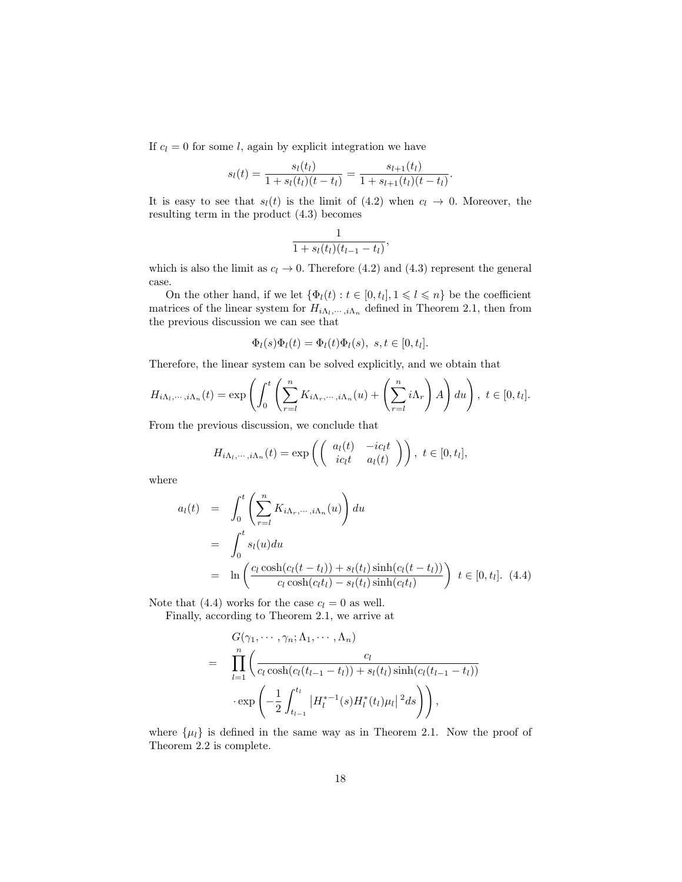If  $c_l = 0$  for some l, again by explicit integration we have

$$
s_l(t) = \frac{s_l(t_l)}{1 + s_l(t_l)(t - t_l)} = \frac{s_{l+1}(t_l)}{1 + s_{l+1}(t_l)(t - t_l)}.
$$

It is easy to see that  $s_l(t)$  is the limit of (4.2) when  $c_l \rightarrow 0$ . Moreover, the resulting term in the product (4.3) becomes

$$
\frac{1}{1 + s_l(t_l)(t_{l-1} - t_l)},
$$

which is also the limit as  $c_l \to 0$ . Therefore (4.2) and (4.3) represent the general case.

On the other hand, if we let  $\{\Phi_l(t) : t \in [0, t_l], 1 \leq l \leq n\}$  be the coefficient matrices of the linear system for  $H_{i\Lambda_l,\dots,i\Lambda_n}$  defined in Theorem 2.1, then from the previous discussion we can see that

$$
\Phi_l(s)\Phi_l(t) = \Phi_l(t)\Phi_l(s), \ s, t \in [0, t_l].
$$

Therefore, the linear system can be solved explicitly, and we obtain that

$$
H_{i\Lambda_l,\dots,i\Lambda_n}(t) = \exp\left(\int_0^t \left(\sum_{r=l}^n K_{i\Lambda_r,\dots,i\Lambda_n}(u) + \left(\sum_{r=l}^n i\Lambda_r\right)A\right) du\right), \ t \in [0,t_l].
$$

From the previous discussion, we conclude that

$$
H_{i\Lambda_l,\dots,i\Lambda_n}(t) = \exp\left(\begin{pmatrix} a_l(t) & -ic_l t \\ ic_l t & a_l(t) \end{pmatrix}\right), t \in [0, t_l],
$$

where

$$
a_l(t) = \int_0^t \left( \sum_{r=1}^n K_{i\Lambda_r, \dots, i\Lambda_n}(u) \right) du
$$
  
= 
$$
\int_0^t s_l(u) du
$$
  
= 
$$
\ln \left( \frac{c_l \cosh(c_l(t - t_l)) + s_l(t_l) \sinh(c_l(t - t_l))}{c_l \cosh(c_l t_l) - s_l(t_l) \sinh(c_l t_l)} \right) t \in [0, t_l].
$$
 (4.4)

Note that (4.4) works for the case  $c_l = 0$  as well.

Finally, according to Theorem 2.1, we arrive at

$$
G(\gamma_1, \dots, \gamma_n; \Lambda_1, \dots, \Lambda_n)
$$
\n
$$
= \prod_{l=1}^n \left( \frac{c_l}{c_l \cosh(c_l(t_{l-1} - t_l)) + s_l(t_l) \sinh(c_l(t_{l-1} - t_l))} \cdot \exp\left( -\frac{1}{2} \int_{t_{l-1}}^{t_l} |H_l^{*-1}(s) H_l^*(t_l) \mu_l|^2 ds \right) \right),
$$

where  $\{\mu_l\}$  is defined in the same way as in Theorem 2.1. Now the proof of Theorem 2.2 is complete.